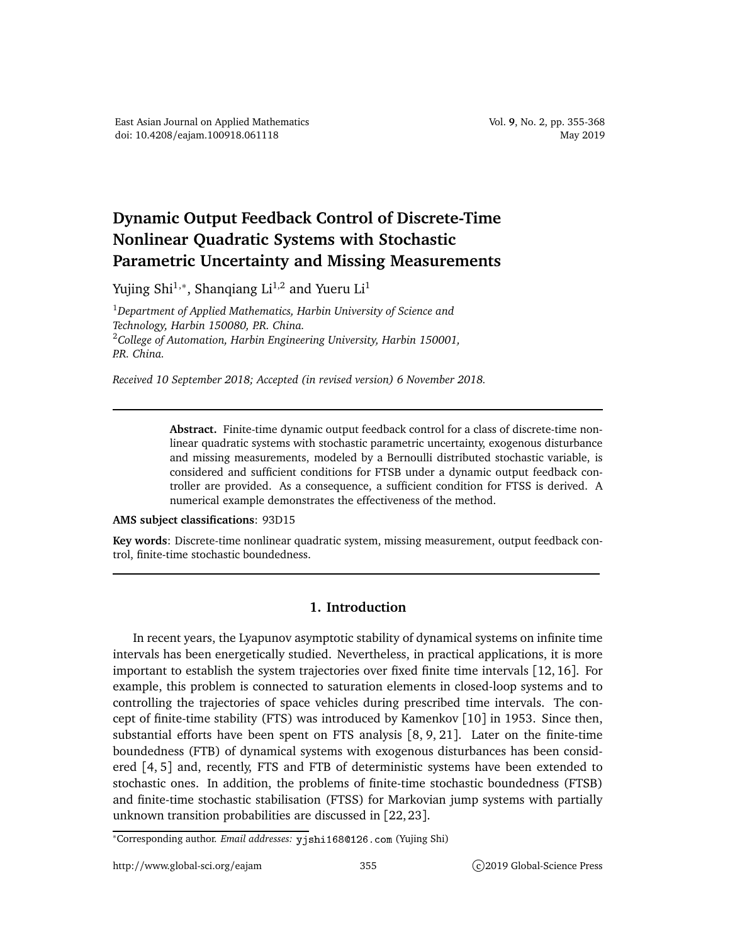## **Dynamic Output Feedback Control of Discrete-Time Nonlinear Quadratic Systems with Stochastic Parametric Uncertainty and Missing Measurements**

Yujing Shi $^{1,\ast}$ , Shanqiang Li $^{1,2}$  and Yueru Li $^{1}$ 

<sup>1</sup>*Department of Applied Mathematics, Harbin University of Science and Technology, Harbin 150080, P.R. China.* <sup>2</sup>*College of Automation, Harbin Engineering University, Harbin 150001, P.R. China.*

*Received 10 September 2018; Accepted (in revised version) 6 November 2018.*

**Abstract.** Finite-time dynamic output feedback control for a class of discrete-time nonlinear quadratic systems with stochastic parametric uncertainty, exogenous disturbance and missing measurements, modeled by a Bernoulli distributed stochastic variable, is considered and sufficient conditions for FTSB under a dynamic output feedback controller are provided. As a consequence, a sufficient condition for FTSS is derived. A numerical example demonstrates the effectiveness of the method.

## **AMS subject classifications**: 93D15

**Key words**: Discrete-time nonlinear quadratic system, missing measurement, output feedback control, finite-time stochastic boundedness.

## **1. Introduction**

In recent years, the Lyapunov asymptotic stability of dynamical systems on infinite time intervals has been energetically studied. Nevertheless, in practical applications, it is more important to establish the system trajectories over fixed finite time intervals [12, 16]. For example, this problem is connected to saturation elements in closed-loop systems and to controlling the trajectories of space vehicles during prescribed time intervals. The concept of finite-time stability (FTS) was introduced by Kamenkov [10] in 1953. Since then, substantial efforts have been spent on FTS analysis [8, 9, 21]. Later on the finite-time boundedness (FTB) of dynamical systems with exogenous disturbances has been considered [4, 5] and, recently, FTS and FTB of deterministic systems have been extended to stochastic ones. In addition, the problems of finite-time stochastic boundedness (FTSB) and finite-time stochastic stabilisation (FTSS) for Markovian jump systems with partially unknown transition probabilities are discussed in [22, 23].

<sup>∗</sup>Corresponding author. *Email addresses:* yjshi168126.
om (Yujing Shi)